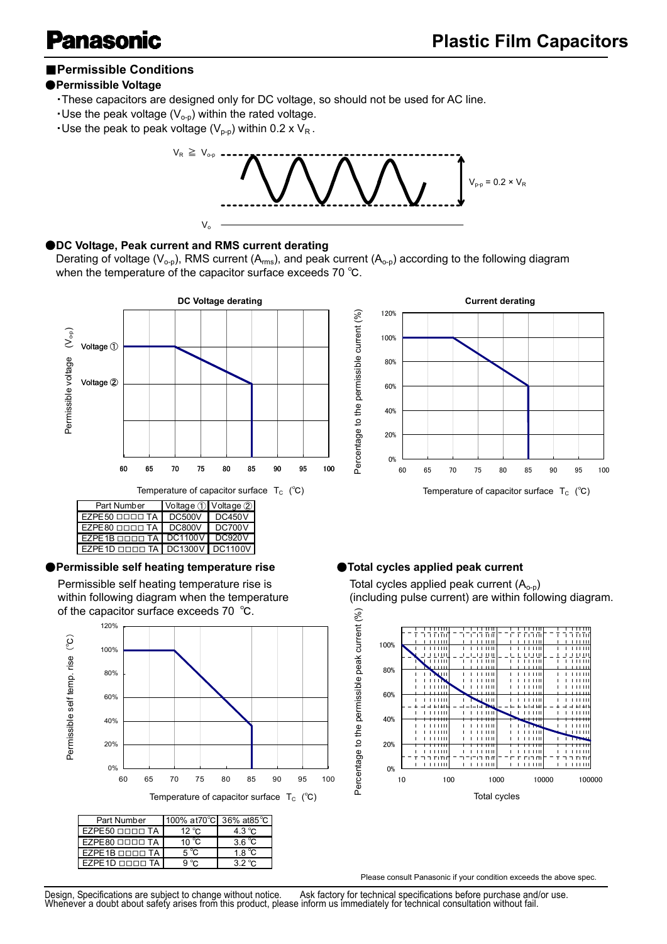# **nasoi**

# ■**Permissible Conditions**

## ●**Permissible Voltage**

- ・These capacitors are designed only for DC voltage, so should not be used for AC line.
- $\cdot$  Use the peak voltage (V<sub>o-p</sub>) within the rated voltage.
- **.** Use the peak to peak voltage ( $V_{p-p}$ ) within 0.2 x  $V_R$ .



### ●**DC Voltage, Peak current and RMS current derating**

Derating of voltage ( $V_{o-p}$ ), RMS current (A<sub>rms</sub>), and peak current (A<sub>o-p</sub>) according to the following diagram when the temperature of the capacitor surface exceeds 70 ℃.



Temperature of capacitor surface  $T_c$  (°C)

| Part Number                              | Voltage 1 Voltage 2 |
|------------------------------------------|---------------------|
| EZPE50 <sub>[11111</sub> TA   DC500V     | DC450V              |
| EZPE80 OOOO TA DC800V                    | <b>DC700V</b>       |
| EZPE1B <b>DOOD TA   DC1100V   DC920V</b> |                     |
| EZPE1D OOOO TA DC1300V DC1100V           |                     |
|                                          |                     |

### ●**Permissible self heating temperature rise** ●**Total cycles applied peak current**

Permissible self heating temperature rise is within following diagram when the temperature of the capacitor surface exceeds 70 ℃.



| Part Number                                        | 100% at 70°C 36% at 85°C |                  |
|----------------------------------------------------|--------------------------|------------------|
| $EZPE50$ $\Box$ $\Box$ $\Box$ $\Box$ $TA$          | $12^{\circ}$ C           | $4.3\degree$ C   |
| $EZPE80$ $\Box$ $\Box$ $\Box$ $\Box$ $\Box$ $\Box$ | 10 $^{\circ}$ C          | 3.6 $^{\circ}$ C |
| $EZPE1B$ $DDD$ TA                                  | 5 °C                     | 1.8 $^{\circ}$ C |
| $EZPE1D$ $DDD$ TA                                  | 9 °C                     | $32^{\circ}$ C   |



Total cycles applied peak current  $(A<sub>o-p</sub>)$ (including pulse current) are within following diagram.



Please consult Panasonic if your condition exceeds the above spec.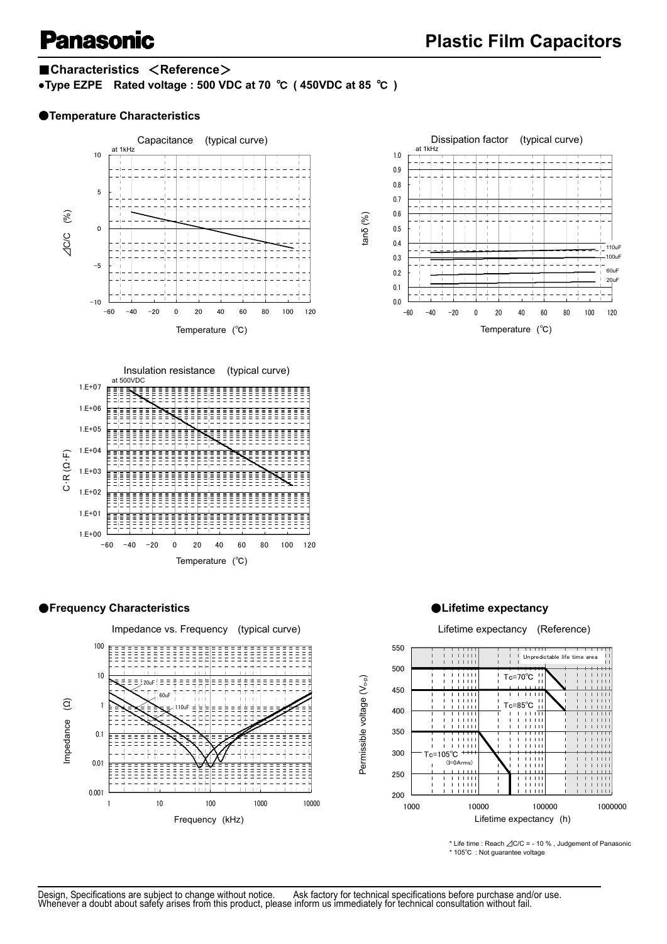# ■**Characteristics** <**Reference**>

**●Type EZPE Rated voltage : 500 VDC at 70** ℃ **( 450VDC at 85** ℃ **)** 

## ●**Temperature Characteristics**













\* Life time : Reach ⊿C/C = - 10 % , Judgement of Panasonic \* 105℃ : Not guarantee voltage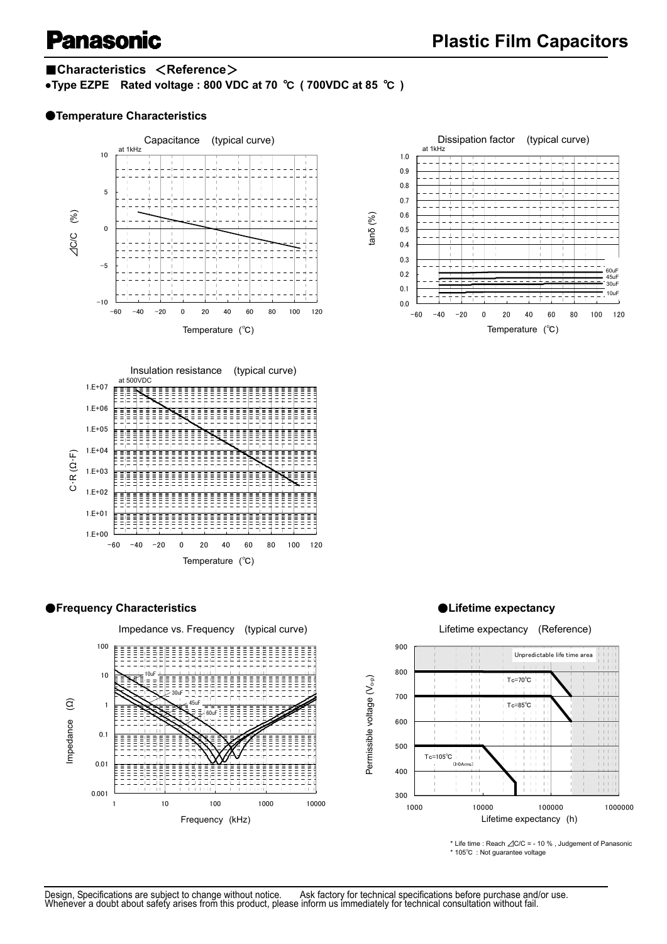### ■**Characteristics** <**Reference**>

**●Type EZPE Rated voltage : 800 VDC at 70** ℃ **( 700VDC at 85** ℃ **)** 

#### ●**Temperature Characteristics**













\* Life time : Reach ⊿C/C = - 10 % , Judgement of Panasonic \* 105℃ : Not guarantee voltage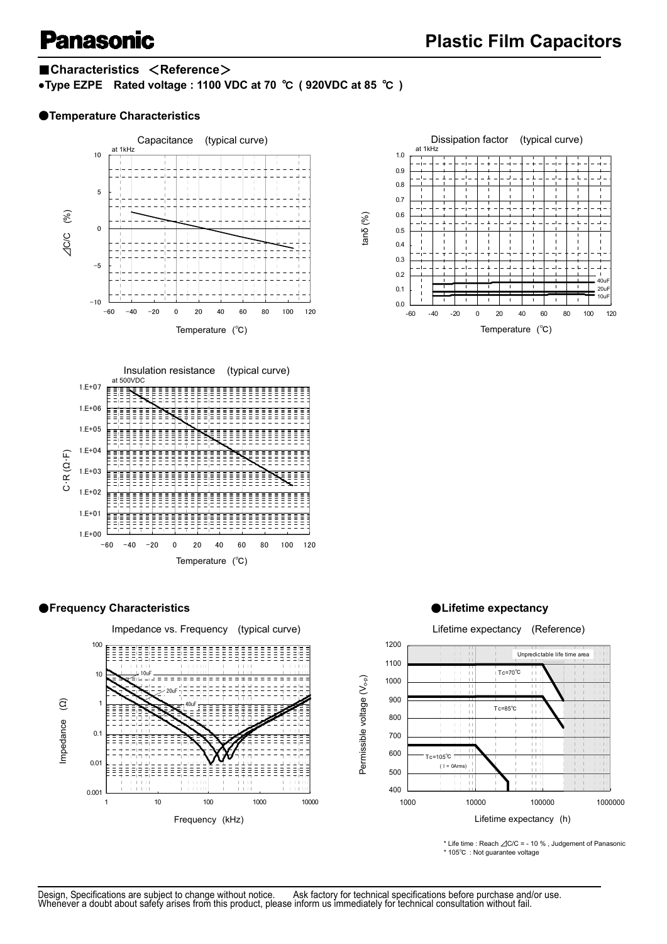# ■**Characteristics** <**Reference**>

**●Type EZPE Rated voltage : 1100 VDC at 70** ℃ **( 920VDC at 85** ℃ **)** 

### ●**Temperature Characteristics**









\* Life time : Reach ⊿C/C = - 10 % , Judgement of Panasonic \* 105℃ : Not guarantee voltage



#### ●**Frequency Characteristics** ●**Lifetime expectancy**